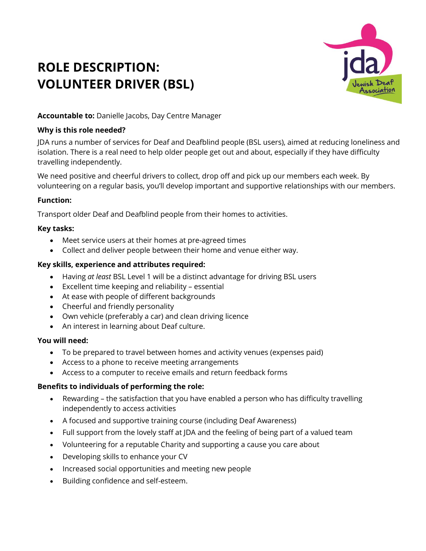# **ROLE DESCRIPTION: VOLUNTEER DRIVER (BSL)**



## **Accountable to:** Danielle Jacobs, Day Centre Manager

## **Why is this role needed?**

JDA runs a number of services for Deaf and Deafblind people (BSL users), aimed at reducing loneliness and isolation. There is a real need to help older people get out and about, especially if they have difficulty travelling independently.

We need positive and cheerful drivers to collect, drop off and pick up our members each week. By volunteering on a regular basis, you'll develop important and supportive relationships with our members.

## **Function:**

Transport older Deaf and Deafblind people from their homes to activities.

## **Key tasks:**

- Meet service users at their homes at pre-agreed times
- Collect and deliver people between their home and venue either way.

## **Key skills, experience and attributes required:**

- Having *at least* BSL Level 1 will be a distinct advantage for driving BSL users
- Excellent time keeping and reliability essential
- At ease with people of different backgrounds
- Cheerful and friendly personality
- Own vehicle (preferably a car) and clean driving licence
- An interest in learning about Deaf culture.

## **You will need:**

- To be prepared to travel between homes and activity venues (expenses paid)
- Access to a phone to receive meeting arrangements
- Access to a computer to receive emails and return feedback forms

## **Benefits to individuals of performing the role:**

- Rewarding the satisfaction that you have enabled a person who has difficulty travelling independently to access activities
- A focused and supportive training course (including Deaf Awareness)
- Full support from the lovely staff at JDA and the feeling of being part of a valued team
- Volunteering for a reputable Charity and supporting a cause you care about
- Developing skills to enhance your CV
- Increased social opportunities and meeting new people
- Building confidence and self-esteem.